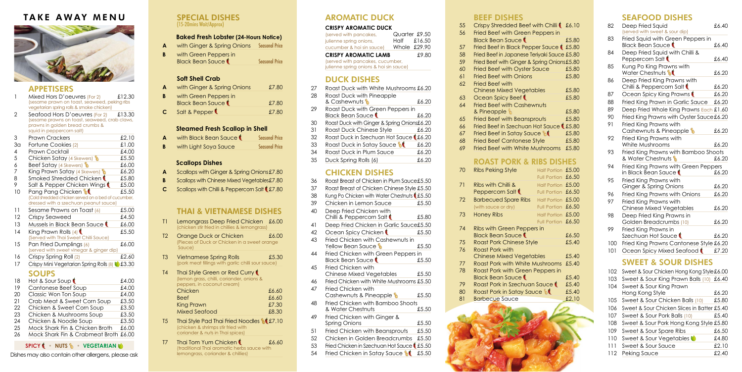## SPECIAL DISHES (15-20mins Wait/Approx)

## **Baked Fresh Lobster (24-Hours Notice)**

**A** with Ginger & Spring Onions Seasonal Price

| B | with Green Peppers in   |                       |
|---|-------------------------|-----------------------|
|   | <b>Black Bean Sauce</b> | <b>Seasonal Price</b> |

## **Soft Shell Crab**

- **A** Scallops with Ginger & Spring Onions£7.80
- **B** Scallops with Chinese Mixed Vegetables£7.80
- **C** Scallops with Chilli & Peppercorn Salt **£7.80**

| A | with Ginger & Spring Onions                      | £7.80 |
|---|--------------------------------------------------|-------|
| B | with Green Peppers in<br><b>Black Bean Sauce</b> | £7.80 |
| C | Salt & Pepper                                    | £7.80 |

- T1 Lemongrass Deep Fried Chicken £6.00 (chicken stir fried in chillies & lemongrass)
- T<sub>2</sub> Orange Duck or Chicken **E**6.00 (Pieces of Duck or Chicken in a sweet orange **Sauce**)

## **Steamed Fresh Scallop in Shell**

| A | with Black Bean Sauce | <b>Seasonal Price</b> |
|---|-----------------------|-----------------------|
| B | with Light Soya Sauce | <b>Seasonal Price</b> |

#### **Scallops Dishes**

# THAI & VIETNAMESE DISHES

- T5 Thai Style Pad Thai Fried Noodles **1.5**7.10 (chicken & shrimps stir fried with coriander & nuts in Thai spices)
- T7 Thai Tom Yum Chicken **t** 16.60 (traditional Thai aromatic herbs sauce with lemongrass, coriander & chillies)

| T <sub>3</sub> | <b>Vietnamese Spring Rolls</b>                     | £5.30 |
|----------------|----------------------------------------------------|-------|
|                | (pork meat fillings with garlic chilli sour sauce) |       |

| T4 | Thai Style Green or Red Curry             |                             |
|----|-------------------------------------------|-----------------------------|
|    | (lemon grass, chilli, coriander, onions & |                             |
|    | peppers, in coconut cream)                |                             |
|    | Chicken                                   | £6.60                       |
|    | <b>Beef</b>                               | £6.60                       |
|    | <b>King Prawn</b>                         | £7.30                       |
|    | <b>Mixed Seafood</b>                      | £8.30                       |
|    |                                           | $\sim$ $\sim$ $\sim$ $\sim$ |

# AROMATIC DUCK

#### **CRISPY AROMATIC DUCK**

| (served with pancakes,<br>julienne spring onions,<br>cucumber & hoi sin sauce) | Quarter £9.50<br>Half £16.50<br>Whole $£29.90$ |
|--------------------------------------------------------------------------------|------------------------------------------------|
| <b>CRISPY AROMATIC LAMB</b>                                                    | £9.80                                          |
| (served with pancakes, cucumber,<br>julienne spring onions & hoi sin sauce)    |                                                |

# DUCK DISHES

| 27 | Roast Duck with White Mushrooms £6.20                       |       |
|----|-------------------------------------------------------------|-------|
| 28 | Roast Duck with Pineapple<br>& Cashewnuts &                 | £6.20 |
| 29 | Roast Duck with Green Peppers in<br><b>Black Bean Sauce</b> | £6.20 |
| 30 | Roast Duck with Ginger & Spring Onions£6.20                 |       |
| 31 | Roast Duck Chinese Style                                    | £6.20 |
| 32 | Roast Duck in Szechuan Hot Sauce (£6.20                     |       |
| 33 | Roast Duck in Satay Sauce <b>St</b>                         | £6.20 |
|    |                                                             |       |

- 34 Roast Duck in Plum Sauce £6.20 £6.20
- 35 Duck Spring Rolls (6)

|          | <u>DEEL NIJHEJ</u>                                                           |       |     | SEAFUUD DISNES                                               |       |
|----------|------------------------------------------------------------------------------|-------|-----|--------------------------------------------------------------|-------|
| 55<br>56 | Crispy Shredded Beef with Chilli & £6.10<br>Fried Beef with Green Peppers in |       | 82  | Deep Fried Squid<br>(served with sweet & sour dip)           | £6.40 |
| 57       | <b>Black Bean Sauce</b><br>Fried Beef in Black Pepper Sauce (£5.80           | £5.80 | 83  | Fried Squid with Green Peppers in<br><b>Black Bean Sauce</b> | £6.40 |
| 58       | Fried Beef in Japanese Teriyaki Sauce £5.80                                  |       | 84  | Deep Fried Squid with Chilli &<br>Peppercorn Salt            | £6.40 |
| 59<br>60 | Fried Beef with Ginger & Spring Onions£5.80<br>Fried Beef with Oyster Sauce  | £5.80 | 85  | Kung Po King Prawns with<br>Water Chestnuts <b>M</b>         | £6.20 |
| 61<br>62 | <b>Fried Beef with Onions</b><br>Fried Beef with                             | £5.80 | 86  | Deep Fried King Prawns with<br>Chilli & Peppercorn Salt      | £6.20 |
|          | <b>Chinese Mixed Vegetables</b>                                              | £5.80 | 87  | Ocean Spicy King Prawns                                      | £6.20 |
| 63       | Ocean Spicy Beef                                                             | £5.80 | 88  | Fried King Prawn in Garlic Sauce                             | £6.20 |
| 64       | <b>Fried Beef with Cashewnuts</b><br>& Pineapple                             | £5.80 | 89  | Deep Fried Whole King Prawns Each £1.60                      |       |
| 65       | <b>Fried Beef with Beansprouts</b>                                           | £5.80 | 90  | Fried King Prawns with Oyster Sauce £6.20                    |       |
| 66       | Fried Beef in Szechuan Hot Sauce (£5.80                                      |       | 91  | Fried King Prawns with                                       |       |
| 67       | Fried Beef in Satay Sauce                                                    | £5.80 |     | Cashewnuts & Pineapple b                                     | £6.20 |
| 68       | <b>Fried Beef Cantonese Style</b>                                            | £5.80 | 92  | Fried King Prawns with                                       |       |
| 69       | Fried Beef with White Mushrooms                                              | £5.80 |     | White Mushrooms                                              | £6.20 |
|          | <b>ROAST PORK &amp; RIBS DISHES</b>                                          |       | 93  | Fried King Prawns with Bamboo Shoots<br>& Water Chestnuts    | £6.20 |
|          |                                                                              |       | 94  | Fried King Prawns with Green Peppers                         |       |
| 70       | <b>Ribs Peking Style</b><br>Half Portion £5.00<br>Full Portion £6.50         |       |     | in Black Bean Sauce ₹                                        | £6.20 |
| 71       | Half Portion £5.00<br>Ribs with Chilli &                                     |       | 95  | Fried King Prawns with                                       |       |
|          | Peppercorn Salt (<br>Full Portion £6.50                                      |       |     | Ginger & Spring Onions                                       | £6.20 |
| 72       | <b>Barbecued Spare Ribs</b><br>Half Portion £5.00                            |       | 96  | Fried King Prawns with Onions                                | £6.20 |
|          | (with sauce or dry)<br>Full Portion £6.50                                    |       | 97  | Fried King Prawns with                                       |       |
| 73       | <b>Honey Ribs</b><br>Half Portion £5.00                                      |       |     | <b>Chinese Mixed Vegetables</b>                              | £6.20 |
|          | Full Portion £6.50                                                           |       | 98  | Deep Fried King Prawns in<br>Golden Breadcrumbs (10)         | £6.20 |
| 74       | Ribs with Green Peppers in                                                   |       | 99  | Fried King Prawns in                                         |       |
|          | <b>Black Bean Sauce</b>                                                      | £6.50 |     | Szechuan Hot Sauce                                           | £6.20 |
| 75       | <b>Roast Pork Chinese Style</b>                                              | £5.40 | 100 | Fried King Prawns Cantonese Style £6.20                      |       |
| 76       | <b>Roast Pork with</b><br><b>Chinese Mixed Vegetables</b>                    | £5.40 | 101 | Ocean Spicy Mixed Seafood                                    | £7.20 |
| 77       | Roast Pork with White Mushrooms                                              | £5.40 |     | <b>SWEET &amp; SOUR DISHES</b>                               |       |
| 78       | Roast Pork with Green Peppers in                                             |       |     | 102 Sweet & Sour Chicken Hong Kong Style £6.00               |       |
|          | <b>Black Bean Sauce</b>                                                      | £5.40 |     | 103 Sweet & Sour King Prawn Balls (10) £6.40                 |       |
| 79       | Roast Pork in Szechuan Sauce                                                 | £5.40 | 104 | Sweet & Sour King Prawn                                      |       |
| 80       | Roast Pork in Satay Sauce &                                                  | £5.40 |     | Hong Kong Style                                              | £6.20 |
| 81       | <b>Barbecue</b> Sauce                                                        | £2.10 | 105 | Sweet & Sour Chicken Balls (10)                              | £5.80 |
|          |                                                                              |       | 106 | Sweet & Sour Chicken Slices in Batter £5.40                  |       |
|          |                                                                              |       | 107 | Sweet & Sour Pork Balls (10)                                 | £5.40 |
|          |                                                                              |       | 108 | Sweet & Sour Pork Hong Kong Style £5.80                      |       |
|          |                                                                              |       | 109 | Sweet & Sour Spare Ribs                                      | £6.50 |
|          |                                                                              |       | 110 | Sweet & Sour Vegetables                                      | £4.80 |
|          |                                                                              |       | 111 | Sweet & Sour Sauce                                           | £2.10 |
|          |                                                                              |       |     | 112 Peking Sauce                                             | £2.40 |
|          |                                                                              |       |     |                                                              |       |
|          |                                                                              |       |     |                                                              |       |

SEAFOOD DISHES

- 74 Ribs with Green Peppers in Black Bean Sauce
- 75 Roast Pork Chinese Style
- 76 Roast Pork with Chinese Mixed Vegetables
- 77 Roast Pork with White Mushro
- 78 Roast Pork with Green Peppe Black Bean Sauce
- 79 Roast Pork in Szechuan Sauc
- 80 Roast Pork in Satay Sauce **14**
- 81 Barbecue Sauce



# CHICKEN DISHES

| 36 | Roast Breast of Chicken in Plum Sauce£5.50                     |       |
|----|----------------------------------------------------------------|-------|
| 37 | Roast Breast of Chicken Chinese Style £5.50                    |       |
| 38 | Kung Po Chicken with Water Chestnuts (£5.50                    |       |
| 39 | Chicken in Lemon Sauce                                         | £5.50 |
| 40 | Deep Fried Chicken with<br>Chilli & Peppercorn Salt (          | £5.80 |
| 41 | Deep Fried Chicken in Garlic Sauce£5.50                        |       |
| 42 | Ocean Spicy Chicken                                            | £5.50 |
| 43 | Fried Chicken with Cashewnuts in<br>Yellow Bean Sauce <b>N</b> | £5.50 |
| 44 | Fried Chicken with Green Peppers in<br><b>Black Bean Sauce</b> | £5.50 |
| 45 | Fried Chicken with<br><b>Chinese Mixed Vegetables</b>          | £5.50 |
| 46 | Fried Chicken with White Mushrooms £5.50                       |       |
| 47 | Fried Chicken with<br>Cashewnuts & Pineapple                   | £5.50 |
| 48 | Fried Chicken with Bamboo Shoots<br>& Water Chestnuts          | £5.50 |
| 49 | Fried Chicken with Ginger &<br>Spring Onions                   | £5.50 |
| 51 | Fried Chicken with Beansprouts                                 | £5.50 |
| 52 | Chicken in Golden Breadcrumbs                                  | £5.50 |
| 53 | Fried Chicken in Szechuan Hot Sauce                            | £5.50 |

54 Fried Chicken in Satay Sauce **16** £5.50

#### 67 Fried Beef in Satay Sauce

BEEF DISHES 55 Crispy Shredded Beef with C 56 Fried Beef with Green Pepper Black Bean Sauce 57 Fried Beef in Black Pepper Sau 58 Fried Beef in Japanese Teriyaki ; 59 Fried Beef with Ginger & Spring 60 Fried Beef with Oyster Sauce 61 Fried Beef with Onions 62 Fried Beef with

# **ROAST PORK & RIBS**

- Mixed Hors D'oeuvres (For 2) £12.30 (sesame prawn on toast, seaweed, peking ribs vegetarian spring rolls & smoke chicken)
- 2 Seafood Hors D'oeuvres (For 2) £13.30 (sesame prawns on toast, seaweed, crab claws, prawns in golden bread crumbs & squid in peppercorn salt)

- (Served with Thai Sweet Chilli Sauce) 15 Pan Fried Dumplings (6) £6.00 (served with sweet vinegar & ginger dip)
- 16 Crispy Spring Roll (2)  $\text{\$2.60}$
- 17 Crispy Mini Vegetarian Spring Rolls (8) **1** £3.30

# SOUPS

| 70  | <b>Ribs Peking Style</b>    | Half Portion £5.00 |  |
|-----|-----------------------------|--------------------|--|
|     |                             | Full Portion £6.50 |  |
| 71  | Ribs with Chilli &          | Half Portion £5.00 |  |
|     | Peppercorn Salt             | Full Portion £6.50 |  |
| 72. | <b>Barbecued Spare Ribs</b> | Half Portion £5.00 |  |
|     | (with sauce or dry)         | Full Portion £6.50 |  |

## **SPICY • NUTS • VEGETARIAN**

Dishes may also contain other allergens, please ask

# APPETISERS

|    | sqora in popporcon i san j                          |       |
|----|-----------------------------------------------------|-------|
| 3  | <b>Prawn Crackers</b>                               | £2.10 |
| 3а | Fortune Cookies (2)                                 | £1.00 |
| 4  | Prawn Cocktail                                      | £4.00 |
| 5  | Chicken Satay (4 Skewers)                           | £5.50 |
| 6  | <b>Beef Satay (4 Skewers)</b>                       | £6.00 |
| 7  | King Prawn Satay (4 Skewers)                        | £6.20 |
| 8  | Smoked Shredded Chicken ¶                           | £5.80 |
| 9  | Salt & Pepper Chicken Wings                         | £5.00 |
| 10 | Pang Pang Chicken                                   | £5.50 |
|    | (Cold shredded chicken served on a bed of cucumber, |       |
|    | dressed with a szechuan peanut sauce)               |       |
| 11 | Sesame Prawns on Toast (6)                          | £5.00 |
| 12 | Crispy Seaweed                                      | £4.50 |
| 13 | Mussels in Black Bean Sauce                         | £6.00 |
| 14 | King Prawn Rolls $(4)$                              | £5.50 |
|    |                                                     |       |

| 18 | Hot & Sour Soup                | £4.00 |
|----|--------------------------------|-------|
| 19 | Cantonese Beef Soup            | £4.00 |
| 20 | Classic Won Ton Soup           | £4.00 |
| 21 | Crab Meat & Sweet Corn Soup    | £3.50 |
| 22 | Chicken & Sweet Corn Soup      | £3.50 |
| 23 | Chicken & Mushrooms Soup       | £3.50 |
| 24 | Chicken & Noodle Soup          | £3.50 |
| 25 | Mock Shark Fin & Chicken Broth | £6.00 |
|    |                                |       |

26 Mock Shark Fin & Crabmeat Broth £6.00

# TAKE AWAY MENU